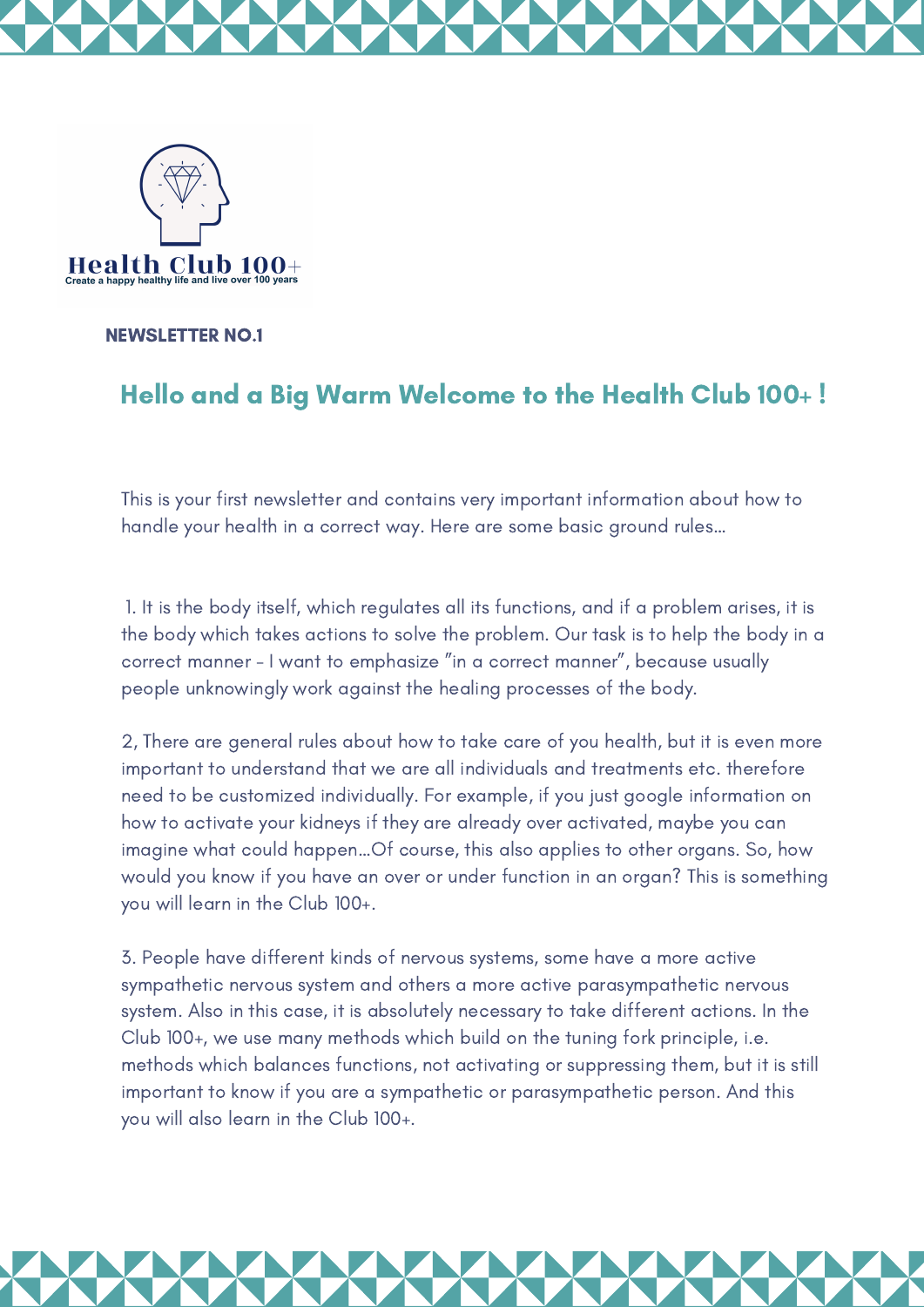



NEWSLETTER NO.1

## Hello and a Big Warm Welcome to the Health Club 100+ !

This is your first newsletter and contains very important information about how to handle your health in a correct way. Here are some basic ground rules…

1. It is the body itself, which regulates all its functions, and if a problem arises, it is the body which takes actions to solve the problem. Our task is to help the body in a correct manner - I want to emphasize "in a correct manner", because usually people unknowingly work against the healing processes of the body.

2, There are general rules about how to take care of you health, but it is even more important to understand that we are all individuals and treatments etc. therefore need to be customized individually. For example, if you just google information on how to activate your kidneys if they are already over activated, maybe you can imagine what could happen…Of course, this also applies to other organs. So, how would you know if you have an over or under function in an organ? This is something you will learn in the Club 100+.

3. People have different kinds of nervous systems, some have a more active sympathetic nervous system and others a more active parasympathetic nervous system. Also in this case, it is absolutely necessary to take different actions. In the Club 100+, we use many methods which build on the tuning fork principle, i.e. methods which balances functions, not activating or suppressing them, but it is still important to know if you are a sympathetic or parasympathetic person. And this you will also learn in the Club 100+.